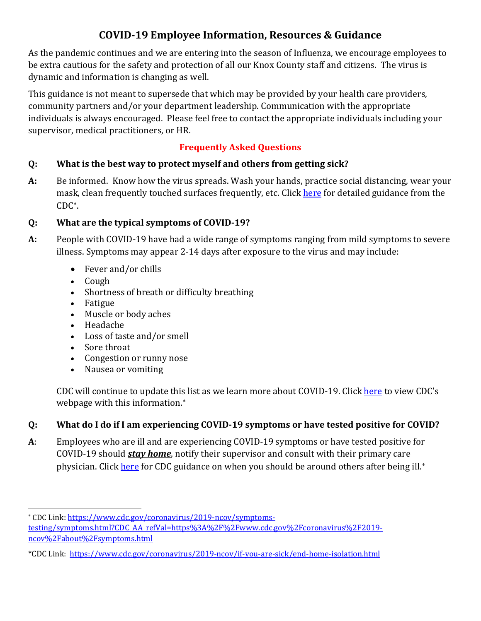# **COVID-19 Employee Information, Resources & Guidance**

As the pandemic continues and we are entering into the season of Influenza, we encourage employees to be extra cautious for the safety and protection of all our Knox County staff and citizens. The virus is dynamic and information is changing as well.

This guidance is not meant to supersede that which may be provided by your health care providers, community partners and/or your department leadership. Communication with the appropriate individuals is always encouraged. Please feel free to contact the appropriate individuals including your supervisor, medical practitioners, or HR.

# **Frequently Asked Questions**

# **Q: What is the best way to protect myself and others from getting sick?**

**A:** Be informed. Know how the virus spreads. Wash your hands, practice social distancing, wear your mask, clean frequently touched surfaces frequently, etc. Click [here](https://www.cdc.gov/coronavirus/2019-ncov/prevent-getting-sick/prevention.html) for detailed guidance from the CDC[∗](#page-0-0).

# **Q: What are the typical symptoms of COVID-19?**

- **A:** People with COVID-19 have had a wide range of symptoms ranging from mild symptoms to severe illness. Symptoms may appear 2-14 days after exposure to the virus and may include:
	- Fever and/or chills
	- Cough
	- Shortness of breath or difficulty breathing
	- Fatigue
	- Muscle or body aches
	- Headache
	- Loss of taste and/or smell
	- Sore throat
	- Congestion or runny nose
	- Nausea or vomiting

CDC will continue to update this list as we learn more about COVID-19. Click [here](link:%20https://www.cdc.gov/coronavirus/2019-ncov/symptoms-testing/symptoms.html?CDC_AA_refVal=https%3A%2F%2Fwww.cdc.gov%2Fcoronavirus%2F2019-ncov%2Fabout%2Fsymptoms.html) to view CDC's webpage with this information.<sup>\*</sup>

# **Q: What do I do if I am experiencing COVID-19 symptoms or have tested positive for COVID?**

**A**: Employees who are ill and are experiencing COVID-19 symptoms or have tested positive for COVID-19 should *stay home*, notify their supervisor and consult with their primary care physician. Clic[k here](https://www.cdc.gov/coronavirus/2019-ncov/if-you-are-sick/end-home-isolation.html) for CDC guidance on when you should be around others after being ill.<sup>\*</sup>

<span id="page-0-0"></span><sup>∗</sup> CDC Link[: https://www.cdc.gov/coronavirus/2019-ncov/symptoms](https://www.cdc.gov/coronavirus/2019-ncov/symptoms-testing/symptoms.html?CDC_AA_refVal=https%3A%2F%2Fwww.cdc.gov%2Fcoronavirus%2F2019-ncov%2Fabout%2Fsymptoms.html)[testing/symptoms.html?CDC\\_AA\\_refVal=https%3A%2F%2Fwww.cdc.gov%2Fcoronavirus%2F2019](https://www.cdc.gov/coronavirus/2019-ncov/symptoms-testing/symptoms.html?CDC_AA_refVal=https%3A%2F%2Fwww.cdc.gov%2Fcoronavirus%2F2019-ncov%2Fabout%2Fsymptoms.html) [ncov%2Fabout%2Fsymptoms.html](https://www.cdc.gov/coronavirus/2019-ncov/symptoms-testing/symptoms.html?CDC_AA_refVal=https%3A%2F%2Fwww.cdc.gov%2Fcoronavirus%2F2019-ncov%2Fabout%2Fsymptoms.html)

<span id="page-0-2"></span><span id="page-0-1"></span><sup>\*</sup>CDC Link: <https://www.cdc.gov/coronavirus/2019-ncov/if-you-are-sick/end-home-isolation.html>